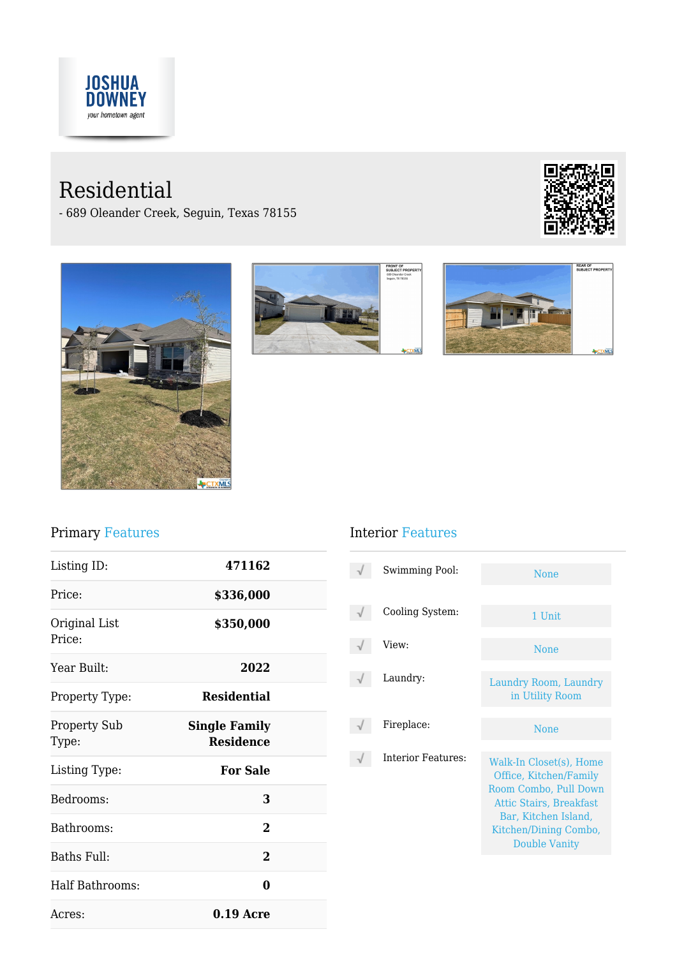

# Residential

- 689 Oleander Creek, Seguin, Texas 78155









## Primary Features

| Listing ID:                  | 471162                                   |  |
|------------------------------|------------------------------------------|--|
| Price:                       | \$336,000                                |  |
| Original List<br>Price:      | \$350,000                                |  |
| Year Built:                  | 2022                                     |  |
| Property Type:               | <b>Residential</b>                       |  |
| <b>Property Sub</b><br>Type: | <b>Single Family</b><br><b>Residence</b> |  |
| Listing Type:                | <b>For Sale</b>                          |  |
| Bedrooms:                    | 3                                        |  |
| Bathrooms:                   | $\mathcal{P}$                            |  |
| Baths Full:                  | $\mathbf{2}$                             |  |
| Half Bathrooms:              | 0                                        |  |
| Acres:                       | $0.19$ Acre                              |  |

## Interior Features

| Swimming Pool:     | <b>None</b>                                                                                                                                                                           |
|--------------------|---------------------------------------------------------------------------------------------------------------------------------------------------------------------------------------|
| Cooling System:    | 1 Unit                                                                                                                                                                                |
| View:              | None                                                                                                                                                                                  |
| Laundry:           | Laundry Room, Laundry<br>in Utility Room                                                                                                                                              |
| Fireplace:         | <b>None</b>                                                                                                                                                                           |
| Interior Features: | Walk-In Closet(s), Home<br>Office, Kitchen/Family<br>Room Combo, Pull Down<br><b>Attic Stairs, Breakfast</b><br>Bar, Kitchen Island,<br>Kitchen/Dining Combo,<br><b>Double Vanity</b> |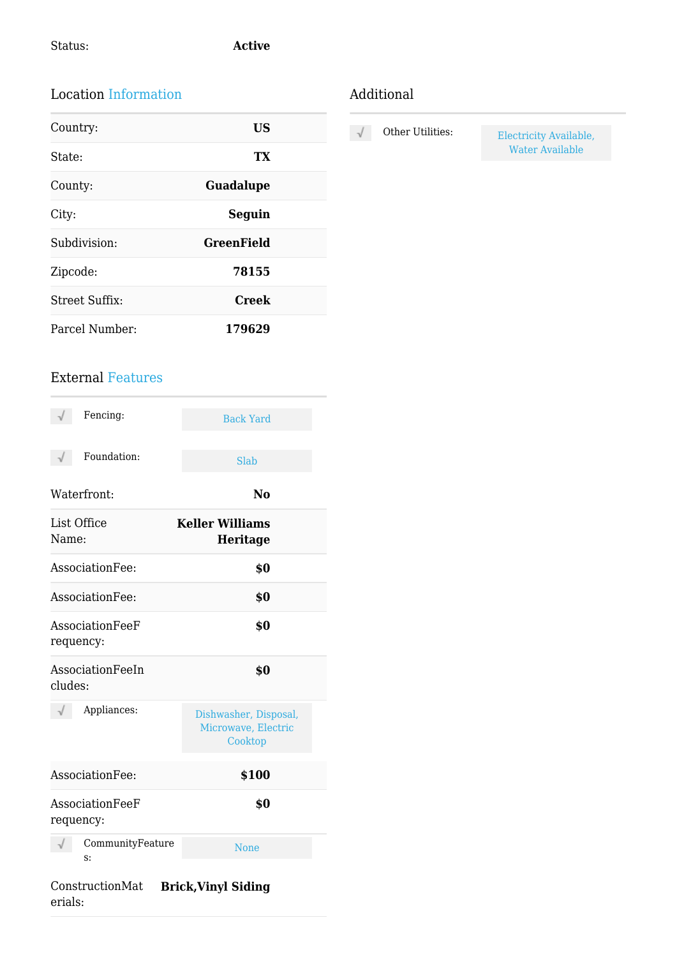### Location Information

| Country:              | <b>US</b>         |
|-----------------------|-------------------|
| State:                | TX                |
| County:               | <b>Guadalupe</b>  |
| City:                 | Seguin            |
| Subdivision:          | <b>GreenField</b> |
| Zipcode:              | 78155             |
| <b>Street Suffix:</b> | <b>Creek</b>      |
| Parcel Number:        | 179629            |

### External Features

| Fencing:                     | <b>Back Yard</b>                                        |
|------------------------------|---------------------------------------------------------|
| Foundation:                  | <b>Slab</b>                                             |
| Waterfront:                  | N <sub>0</sub>                                          |
| List Office<br>Name:         | <b>Keller Williams</b><br>Heritage                      |
| AssociationFee:              | \$0                                                     |
| AssociationFee:              | \$0                                                     |
| AssociationFeeF<br>requency: | \$0                                                     |
| AssociationFeeIn<br>cludes:  | \$0                                                     |
| Appliances:                  | Dishwasher, Disposal,<br>Microwave, Electric<br>Cooktop |
| AssociationFee:              | \$100                                                   |
| AssociationFeeF<br>requency: | \$0                                                     |
| CommunityFeature<br>s:       | <b>None</b>                                             |
|                              |                                                         |

## Additional

 $\sqrt{}$ 

Other Utilities: Electricity Available, Water Available

#### ConstructionMat **Brick,Vinyl Siding**erials: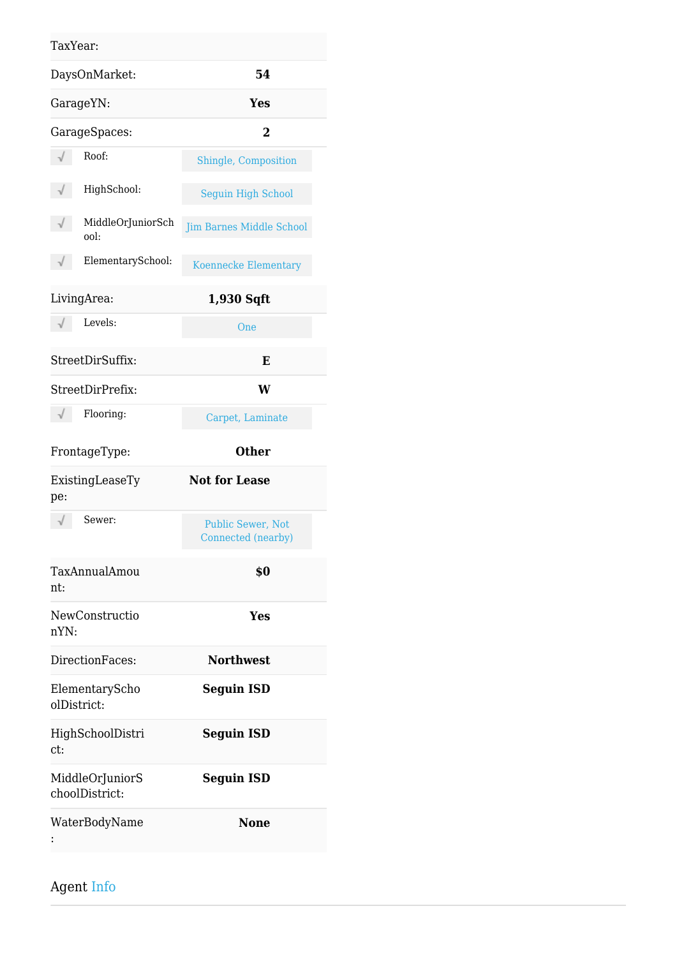#### TaxYear:

| DaysOnMarket:                          | 54                                      |
|----------------------------------------|-----------------------------------------|
| GarageYN:                              | <b>Yes</b>                              |
| GarageSpaces:                          | $\overline{2}$                          |
| Roof:                                  | Shingle, Composition                    |
| HighSchool:                            | <b>Seguin High School</b>               |
| $\sqrt{}$<br>MiddleOrJuniorSch<br>ool: | <b>Jim Barnes Middle School</b>         |
| ElementarySchool:<br>$\sqrt{}$         | <b>Koennecke Elementary</b>             |
| LivingArea:                            | 1,930 Sqft                              |
| Levels:                                | One                                     |
| StreetDirSuffix:                       | E                                       |
| StreetDirPrefix:                       | W                                       |
| Flooring:                              | Carpet, Laminate                        |
| FrontageType:                          | <b>Other</b>                            |
| ExistingLeaseTy<br>pe:                 | <b>Not for Lease</b>                    |
| Sewer:                                 | Public Sewer, Not<br>Connected (nearby) |
| TaxAnnualAmou<br>nt:                   | \$0                                     |
| NewConstructio<br>nYN:                 | Yes                                     |
| DirectionFaces:                        | <b>Northwest</b>                        |
| ElementaryScho<br>olDistrict:          | <b>Seguin ISD</b>                       |
| HighSchoolDistri<br>ct:                | <b>Seguin ISD</b>                       |
| MiddleOrJuniorS<br>choolDistrict:      | <b>Seguin ISD</b>                       |
| WaterBodyName                          | <b>None</b>                             |

Agent Info